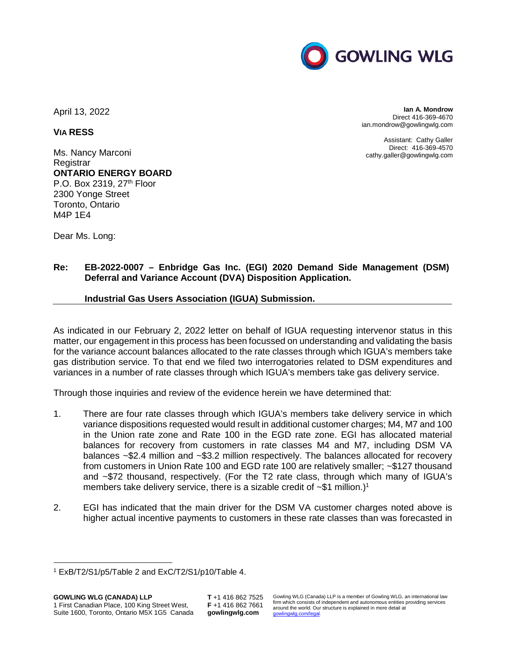

April 13, 2022

**VIA RESS**

Ms. Nancy Marconi **Registrar ONTARIO ENERGY BOARD**  P.O. Box 2319, 27<sup>th</sup> Floor 2300 Yonge Street Toronto, Ontario M4P 1E4

Dear Ms. Long:

**Ian A. Mondrow** Direct 416-369-4670 ian.mondrow@gowlingwlg.com

Assistant: Cathy Galler Direct: 416-369-4570 cathy.galler@gowlingwlg.com

## **Re: EB-2022-0007 – Enbridge Gas Inc. (EGI) 2020 Demand Side Management (DSM) Deferral and Variance Account (DVA) Disposition Application.**

## **Industrial Gas Users Association (IGUA) Submission.**

As indicated in our February 2, 2022 letter on behalf of IGUA requesting intervenor status in this matter, our engagement in this process has been focussed on understanding and validating the basis for the variance account balances allocated to the rate classes through which IGUA's members take gas distribution service. To that end we filed two interrogatories related to DSM expenditures and variances in a number of rate classes through which IGUA's members take gas delivery service.

Through those inquiries and review of the evidence herein we have determined that:

- 1. There are four rate classes through which IGUA's members take delivery service in which variance dispositions requested would result in additional customer charges; M4, M7 and 100 in the Union rate zone and Rate 100 in the EGD rate zone. EGI has allocated material balances for recovery from customers in rate classes M4 and M7, including DSM VA balances ~\$2.4 million and ~\$3.2 million respectively. The balances allocated for recovery from customers in Union Rate 100 and EGD rate 100 are relatively smaller; ~\$127 thousand and ~\$72 thousand, respectively. (For the T2 rate class, through which many of IGUA's members take delivery service, there is a sizable credit of  $\sim $1$  million.)<sup>1</sup>
- 2. EGI has indicated that the main driver for the DSM VA customer charges noted above is higher actual incentive payments to customers in these rate classes than was forecasted in

<sup>1</sup> ExB/T2/S1/p5/Table 2 and ExC/T2/S1/p10/Table 4.